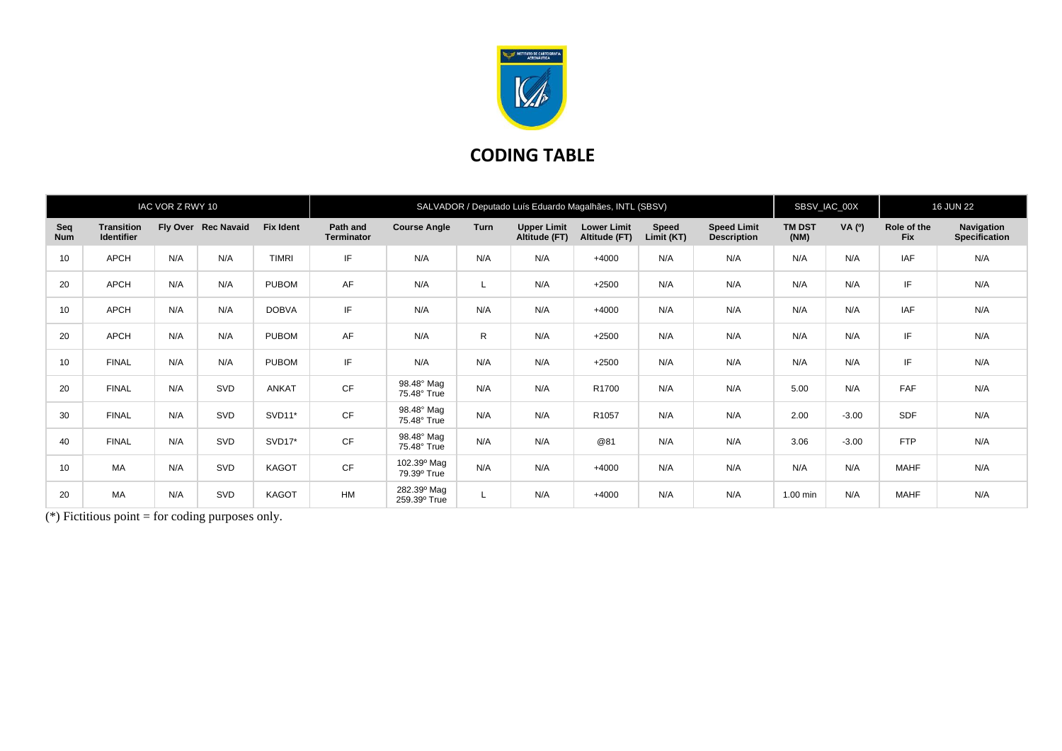

## **CODING TABLE**

|                   |                                        | IAC VOR Z RWY 10 |                     |                  | SALVADOR / Deputado Luís Eduardo Magalhães, INTL (SBSV) |                             |             |                                     |                                     |                            |                                          |                       | SBSV_IAC_00X |                           | <b>16 JUN 22</b>                   |  |
|-------------------|----------------------------------------|------------------|---------------------|------------------|---------------------------------------------------------|-----------------------------|-------------|-------------------------------------|-------------------------------------|----------------------------|------------------------------------------|-----------------------|--------------|---------------------------|------------------------------------|--|
| Seq<br><b>Num</b> | <b>Transition</b><br><b>Identifier</b> |                  | Fly Over Rec Navaid | <b>Fix Ident</b> | Path and<br><b>Terminator</b>                           | <b>Course Angle</b>         | <b>Turn</b> | <b>Upper Limit</b><br>Altitude (FT) | <b>Lower Limit</b><br>Altitude (FT) | <b>Speed</b><br>Limit (KT) | <b>Speed Limit</b><br><b>Description</b> | <b>TM DST</b><br>(NM) | VA $(°)$     | Role of the<br><b>Fix</b> | Navigation<br><b>Specification</b> |  |
| 10                | APCH                                   | N/A              | N/A                 | <b>TIMRI</b>     | IF                                                      | N/A                         | N/A         | N/A                                 | $+4000$                             | N/A                        | N/A                                      | N/A                   | N/A          | IAF                       | N/A                                |  |
| 20                | APCH                                   | N/A              | N/A                 | <b>PUBOM</b>     | AF                                                      | N/A                         | L           | N/A                                 | $+2500$                             | N/A                        | N/A                                      | N/A                   | N/A          | IF                        | N/A                                |  |
| 10                | APCH                                   | N/A              | N/A                 | <b>DOBVA</b>     | IF                                                      | N/A                         | N/A         | N/A                                 | $+4000$                             | N/A                        | N/A                                      | N/A                   | N/A          | IAF                       | N/A                                |  |
| 20                | APCH                                   | N/A              | N/A                 | <b>PUBOM</b>     | AF                                                      | N/A                         | R           | N/A                                 | $+2500$                             | N/A                        | N/A                                      | N/A                   | N/A          | IF                        | N/A                                |  |
| 10                | <b>FINAL</b>                           | N/A              | N/A                 | <b>PUBOM</b>     | IF                                                      | N/A                         | N/A         | N/A                                 | $+2500$                             | N/A                        | N/A                                      | N/A                   | N/A          | IF                        | N/A                                |  |
| 20                | <b>FINAL</b>                           | N/A              | SVD                 | ANKAT            | CF                                                      | 98.48° Mag<br>75.48° True   | N/A         | N/A                                 | R1700                               | N/A                        | N/A                                      | 5.00                  | N/A          | FAF                       | N/A                                |  |
| 30                | <b>FINAL</b>                           | N/A              | SVD                 | SVD11*           | <b>CF</b>                                               | 98.48° Mag<br>75.48° True   | N/A         | N/A                                 | R1057                               | N/A                        | N/A                                      | 2.00                  | $-3.00$      | <b>SDF</b>                | N/A                                |  |
| 40                | <b>FINAL</b>                           | N/A              | SVD                 | SVD17*           | CF                                                      | 98.48° Mag<br>75.48° True   | N/A         | N/A                                 | @81                                 | N/A                        | N/A                                      | 3.06                  | $-3.00$      | <b>FTP</b>                | N/A                                |  |
| 10                | MA                                     | N/A              | SVD                 | <b>KAGOT</b>     | CF                                                      | 102.39° Mag<br>79.39° True  | N/A         | N/A                                 | $+4000$                             | N/A                        | N/A                                      | N/A                   | N/A          | <b>MAHF</b>               | N/A                                |  |
| 20                | MA                                     | N/A              | SVD                 | <b>KAGOT</b>     | <b>HM</b>                                               | 282.39° Mag<br>259.39° True |             | N/A                                 | $+4000$                             | N/A                        | N/A                                      | 1.00 min              | N/A          | <b>MAHF</b>               | N/A                                |  |

(\*) Fictitious point  $=$  for coding purposes only.